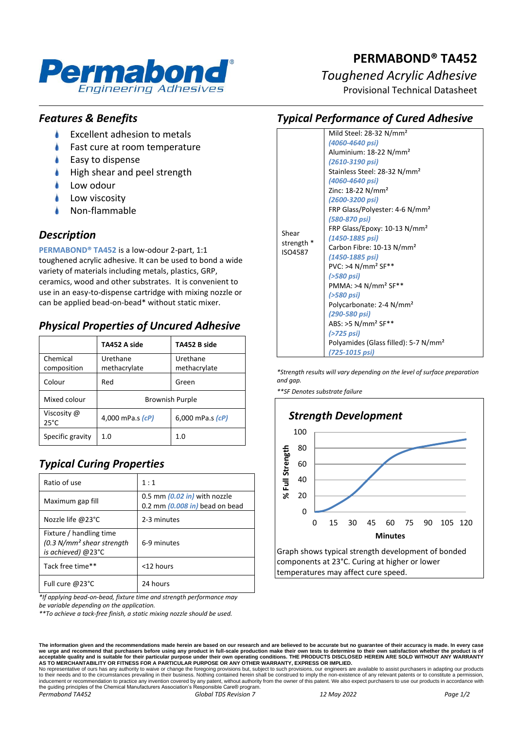

# **PERMABOND® TA452** *Toughened Acrylic Adhesive*

*Typical Performance of Cured Adhesive*

Provisional Technical Datasheet

### *Features & Benefits*

- ۸ Excellent adhesion to metals
- Fast cure at room temperature
- Easy to dispense
- High shear and peel strength
- Low odour
- Low viscosity
- Non-flammable

### *Description*

**PERMABOND® TA452** is a low-odour 2-part, 1:1 toughened acrylic adhesive. It can be used to bond a wide variety of materials including metals, plastics, GRP, ceramics, wood and other substrates. It is convenient to use in an easy-to-dispense cartridge with mixing nozzle or can be applied bead-on-bead\* without static mixer.

## *Physical Properties of Uncured Adhesive*

|                                                   | TA452 A side                                         | TA452 B side       |  |
|---------------------------------------------------|------------------------------------------------------|--------------------|--|
| Chemical<br>composition                           | Urethane<br>Urethane<br>methacrylate<br>methacrylate |                    |  |
| Colour                                            | Red                                                  | Green              |  |
| Mixed colour                                      | <b>Brownish Purple</b>                               |                    |  |
| Viscosity @<br>4,000 mPa.s (cP)<br>$25^{\circ}$ C |                                                      | 6,000 mPa.s $(cP)$ |  |
| Specific gravity                                  | 1.0                                                  | 1.0                |  |

# *Typical Curing Properties*

| Ratio of use                                                                            | 1:1                                                              |  |
|-----------------------------------------------------------------------------------------|------------------------------------------------------------------|--|
| Maximum gap fill                                                                        | 0.5 mm (0.02 in) with nozzle<br>0.2 mm $(0.008$ in) bead on bead |  |
| Nozzle life @23°C                                                                       | 2-3 minutes                                                      |  |
| Fixture / handling time<br>(0.3 N/mm <sup>2</sup> shear strength)<br>is achieved) @23°C | 6-9 minutes                                                      |  |
| Tack free time**                                                                        | <12 hours                                                        |  |
| Full cure @23°C                                                                         | 24 hours                                                         |  |

*\*If applying bead-on-bead, fixture time and strength performance may be variable depending on the application.*

*\*\*To achieve a tack-free finish, a static mixing nozzle should be used.*

The information given and the recommendations made herein are based on our research and are believed to be accurate but no guarantee of their accuracy is made. In every case<br>we urge and recommend that purchasers before usi

No representative of ours has any authority to waive or change the foregoing provisions but, subject to such provisions, our engineers are available to assist purchasers in adapting our products<br>to their needs and to the c *Permabond TA452 Global TDS Revision 7 12 May 2022 Page 1/2*

| Shear<br>strength *<br>ISO4587 | Mild Steel: 28-32 N/mm <sup>2</sup><br>(4060-4640 psi)                                                                                                                                                                                                                                   |
|--------------------------------|------------------------------------------------------------------------------------------------------------------------------------------------------------------------------------------------------------------------------------------------------------------------------------------|
|                                | Aluminium: 18-22 N/mm <sup>2</sup><br>(2610-3190 psi)<br>Stainless Steel: 28-32 N/mm <sup>2</sup><br>(4060-4640 psi)<br>Zinc: $18-22$ N/mm <sup>2</sup><br>(2600-3200 psi)<br>FRP Glass/Polyester: 4-6 N/mm <sup>2</sup>                                                                 |
|                                | (580-870 psi)<br>FRP Glass/Epoxy: 10-13 N/mm <sup>2</sup><br>(1450-1885 psi)<br>Carbon Fibre: 10-13 N/mm <sup>2</sup><br>(1450-1885 psi)<br>$PVC: >4 N/mm2 SF**$<br>(>580 psi)<br>PMMA: >4 N/mm <sup>2</sup> SF**<br>(>580 psi)<br>Polycarbonate: 2-4 N/mm <sup>2</sup><br>(290-580 psi) |
|                                | ABS: >5 N/mm <sup>2</sup> SF**<br>(>725 psi)<br>Polyamides (Glass filled): 5-7 N/mm <sup>2</sup><br>(725-1015 psi)                                                                                                                                                                       |

*\*Strength results will vary depending on the level of surface preparation and gap.*

*\*\*SF Denotes substrate failure*



components at 23°C. Curing at higher or lower temperatures may affect cure speed.